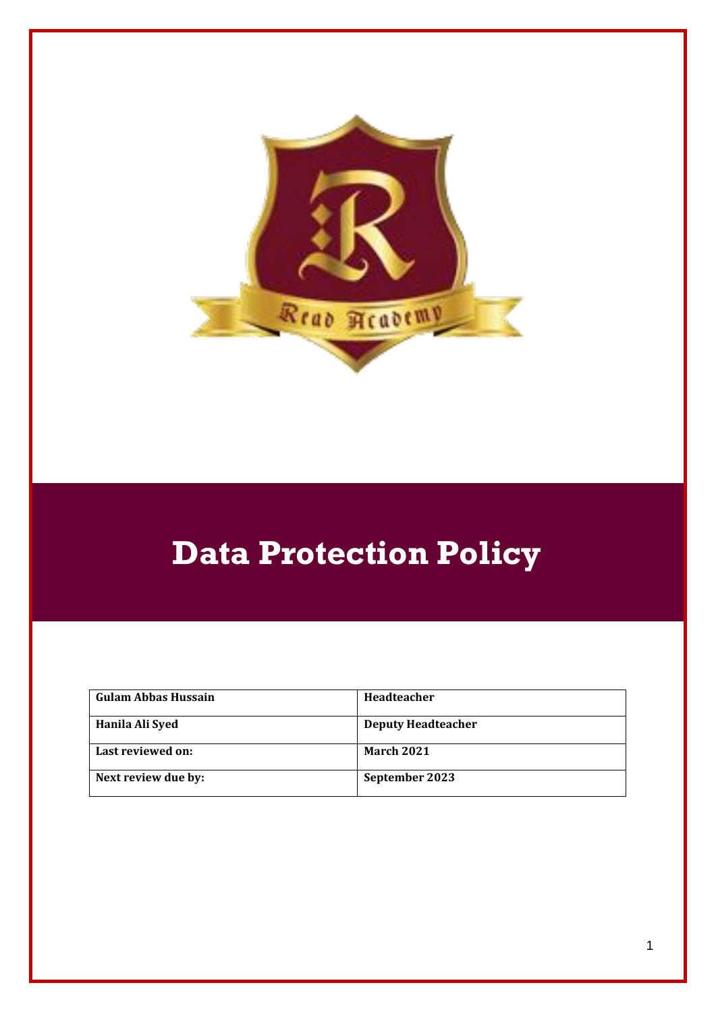

# **Data Protection Policy**

| Gulam Abbas Hussain | <b>Headteacher</b>        |
|---------------------|---------------------------|
| Hanila Ali Syed     | <b>Deputy Headteacher</b> |
| Last reviewed on:   | <b>March 2021</b>         |
| Next review due by: | September 2023            |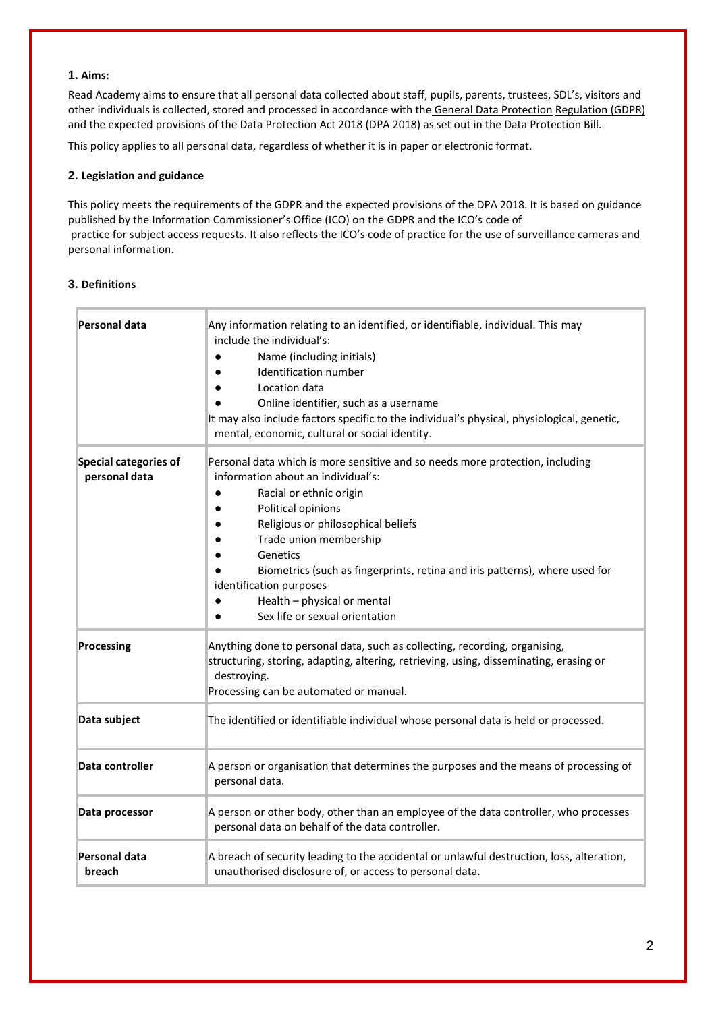#### **1. Aims:**

Read Academy aims to ensure that all personal data collected about staff, pupils, parents, trustees, SDL's, visitors and other individuals is collected, stored and processed in accordance with the [General Data Protection](http://data.consilium.europa.eu/doc/document/ST-5419-2016-INIT/en/pdf) [Regulation \(GDPR\)](http://data.consilium.europa.eu/doc/document/ST-5419-2016-INIT/en/pdf) and the expected provisions of the Data Protection Act 2018 (DPA 2018) as set out in the [Data Protection Bill.](https://publications.parliament.uk/pa/bills/cbill/2017-2019/0153/18153.pdf)

This policy applies to all personal data, regardless of whether it is in paper or electronic format.

#### **2. Legislation and guidance**

This policy meets the requirements of the GDPR and the expected provisions of the DPA 2018. It is based on guidance published by the Information Commissioner's Office (ICO) on the [GDPR](https://ico.org.uk/for-organisations/guide-to-the-general-data-protection-regulation-gdpr/) and the ICO's [code of](https://ico.org.uk/media/for-organisations/documents/2014223/subject-access-code-of-practice.pdf) [practice for subject access requests.](https://ico.org.uk/media/for-organisations/documents/2014223/subject-access-code-of-practice.pdf) It also reflects the ICO's [code of practice](https://ico.org.uk/media/for-organisations/documents/1542/cctv-code-of-practice.pdf) [f](https://ico.org.uk/media/for-organisations/documents/1542/cctv-code-of-practice.pdf)or the use of surveillance cameras and personal information.

### **3. Definitions**

| Personal data                                 | Any information relating to an identified, or identifiable, individual. This may<br>include the individual's:<br>Name (including initials)<br>Identification number<br>Location data<br>Online identifier, such as a username<br>It may also include factors specific to the individual's physical, physiological, genetic,<br>mental, economic, cultural or social identity.                                               |
|-----------------------------------------------|-----------------------------------------------------------------------------------------------------------------------------------------------------------------------------------------------------------------------------------------------------------------------------------------------------------------------------------------------------------------------------------------------------------------------------|
| <b>Special categories of</b><br>personal data | Personal data which is more sensitive and so needs more protection, including<br>information about an individual's:<br>Racial or ethnic origin<br>Political opinions<br>Religious or philosophical beliefs<br>Trade union membership<br>Genetics<br>Biometrics (such as fingerprints, retina and iris patterns), where used for<br>identification purposes<br>Health - physical or mental<br>Sex life or sexual orientation |
| Processing                                    | Anything done to personal data, such as collecting, recording, organising,<br>structuring, storing, adapting, altering, retrieving, using, disseminating, erasing or<br>destroying.<br>Processing can be automated or manual.                                                                                                                                                                                               |
| Data subject                                  | The identified or identifiable individual whose personal data is held or processed.                                                                                                                                                                                                                                                                                                                                         |
| Data controller                               | A person or organisation that determines the purposes and the means of processing of<br>personal data.                                                                                                                                                                                                                                                                                                                      |
| Data processor                                | A person or other body, other than an employee of the data controller, who processes<br>personal data on behalf of the data controller.                                                                                                                                                                                                                                                                                     |
| Personal data<br>breach                       | A breach of security leading to the accidental or unlawful destruction, loss, alteration,<br>unauthorised disclosure of, or access to personal data.                                                                                                                                                                                                                                                                        |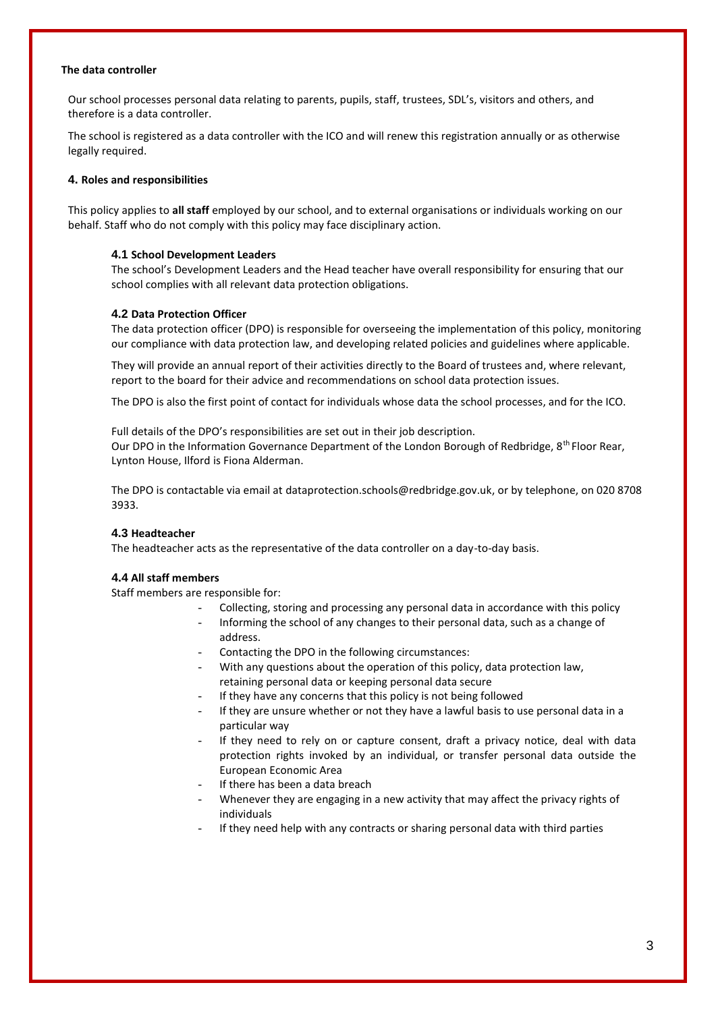#### **The data controller**

Our school processes personal data relating to parents, pupils, staff, trustees, SDL's, visitors and others, and therefore is a data controller.

The school is registered as a data controller with the ICO and will renew this registration annually or as otherwise legally required.

#### **4. Roles and responsibilities**

This policy applies to **all staff** employed by our school, and to external organisations or individuals working on our behalf. Staff who do not comply with this policy may face disciplinary action.

#### **4.1 School Development Leaders**

The school's Development Leaders and the Head teacher have overall responsibility for ensuring that our school complies with all relevant data protection obligations.

#### **4.2 Data Protection Officer**

The data protection officer (DPO) is responsible for overseeing the implementation of this policy, monitoring our compliance with data protection law, and developing related policies and guidelines where applicable.

They will provide an annual report of their activities directly to the Board of trustees and, where relevant, report to the board for their advice and recommendations on school data protection issues.

The DPO is also the first point of contact for individuals whose data the school processes, and for the ICO.

Full details of the DPO's responsibilities are set out in their job description. Our DPO in the Information Governance Department of the London Borough of Redbridge, 8th Floor Rear, Lynton House, Ilford is Fiona Alderman.

The DPO is contactable via email at [dataprotection.schools@redbridge.gov.uk, o](mailto:dataprotection.schools@redbridge.gov.uk)r by telephone, on 020 8708 3933.

#### **4.3 Headteacher**

The headteacher acts as the representative of the data controller on a day-to-day basis.

#### **4.4 All staff members**

Staff members are responsible for:

- Collecting, storing and processing any personal data in accordance with this policy
- Informing the school of any changes to their personal data, such as a change of address.
- Contacting the DPO in the following circumstances:
- With any questions about the operation of this policy, data protection law, retaining personal data or keeping personal data secure
- If they have any concerns that this policy is not being followed
- If they are unsure whether or not they have a lawful basis to use personal data in a particular way
- If they need to rely on or capture consent, draft a privacy notice, deal with data protection rights invoked by an individual, or transfer personal data outside the European Economic Area
- If there has been a data breach
- Whenever they are engaging in a new activity that may affect the privacy rights of individuals
- If they need help with any contracts or sharing personal data with third parties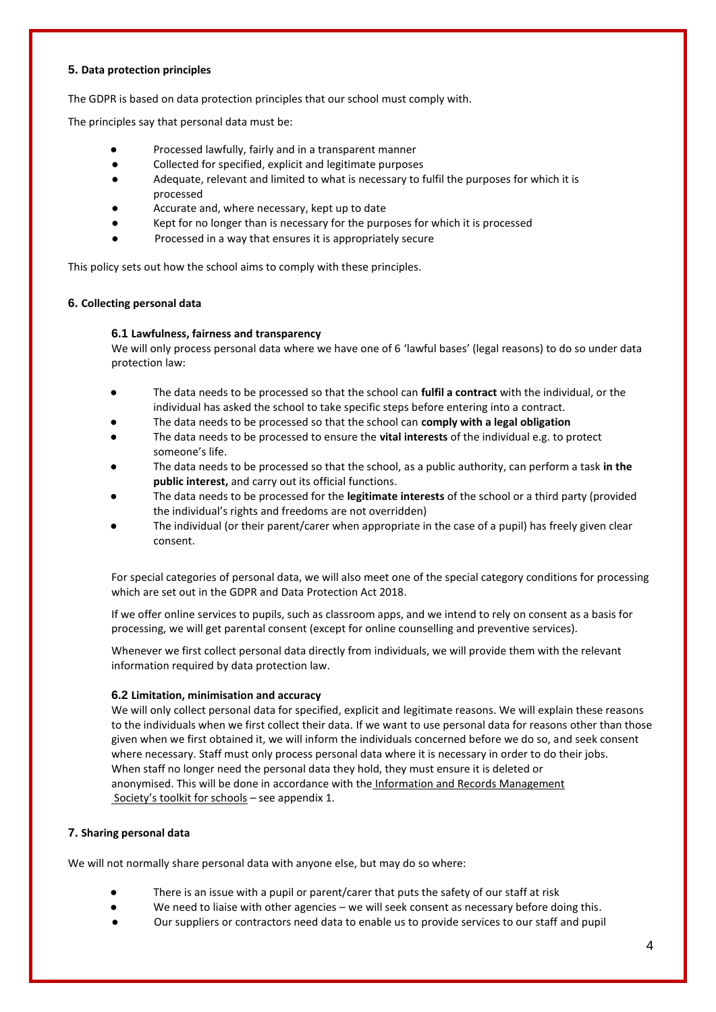#### **5. Data protection principles**

The GDPR is based on data protection principles that our school must comply with.

The principles say that personal data must be:

- Processed lawfully, fairly and in a transparent manner
- Collected for specified, explicit and legitimate purposes
- Adequate, relevant and limited to what is necessary to fulfil the purposes for which it is processed
- Accurate and, where necessary, kept up to date
- Kept for no longer than is necessary for the purposes for which it is processed
- Processed in a way that ensures it is appropriately secure

This policy sets out how the school aims to comply with these principles.

#### **6. Collecting personal data**

#### **6.1 Lawfulness, fairness and transparency**

We will only process personal data where we have one of 6 'lawful bases' (legal reasons) to do so under data protection law:

- The data needs to be processed so that the school can **fulfil a contract** with the individual, or the individual has asked the school to take specific steps before entering into a contract.
- The data needs to be processed so that the school can **comply with a legal obligation**
- The data needs to be processed to ensure the **vital interests** of the individual e.g. to protect someone's life.
- The data needs to be processed so that the school, as a public authority, can perform a task in the **public interest,** and carry out its official functions.
- The data needs to be processed for the **legitimate interests** of the school or a third party (provided the individual's rights and freedoms are not overridden)
- The individual (or their parent/carer when appropriate in the case of a pupil) has freely given clear consent.

For special categories of personal data, we will also meet one of the special category conditions for processing which are set out in the GDPR and Data Protection Act 2018.

If we offer online services to pupils, such as classroom apps, and we intend to rely on consent as a basis for processing, we will get parental consent (except for online counselling and preventive services).

Whenever we first collect personal data directly from individuals, we will provide them with the relevant information required by data protection law.

#### **6.2 Limitation, minimisation and accuracy**

We will only collect personal data for specified, explicit and legitimate reasons. We will explain these reasons to the individuals when we first collect their data. If we want to use personal data for reasons other than those given when we first obtained it, we will inform the individuals concerned before we do so, and seek consent where necessary. Staff must only process personal data where it is necessary in order to do their jobs. When staff no longer need the personal data they hold, they must ensure it is deleted or anonymised. This will be done in accordance with the [Information and Records Management](http://irms.org.uk/?page=schoolstoolkit&terms) [Society's toolkit for schools](http://irms.org.uk/?page=schoolstoolkit&terms) – see appendix 1.

## **7. Sharing personal data**

We will not normally share personal data with anyone else, but may do so where:

- There is an issue with a pupil or parent/carer that puts the safety of our staff at risk
- We need to liaise with other agencies we will seek consent as necessary before doing this.
- Our suppliers or contractors need data to enable us to provide services to our staff and pupil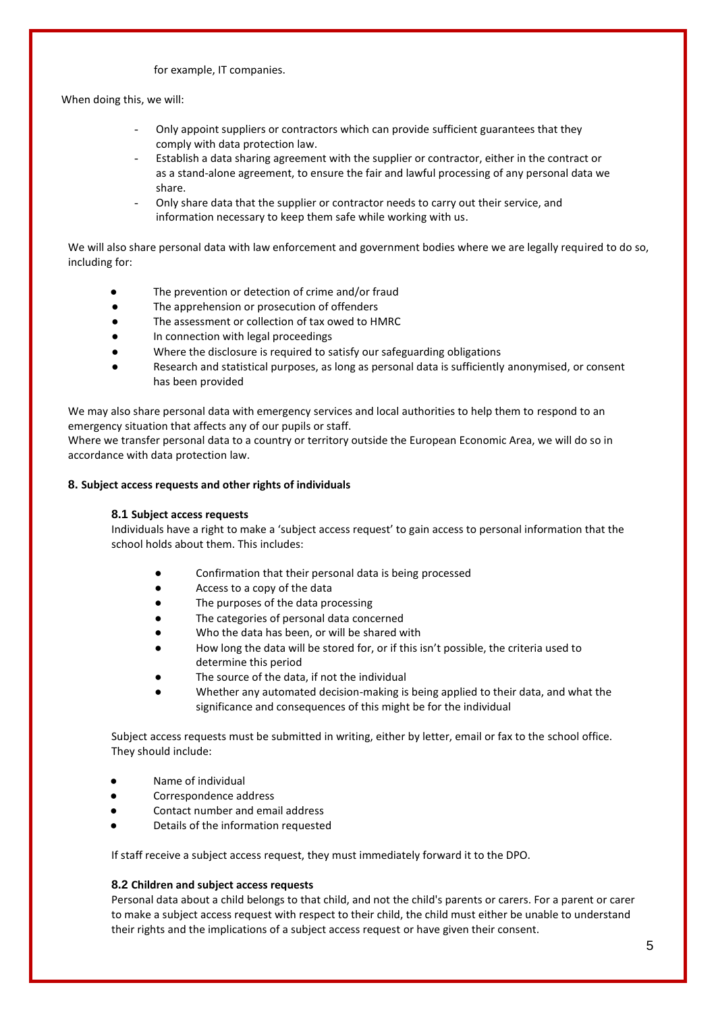#### for example, IT companies.

When doing this, we will:

- Only appoint suppliers or contractors which can provide sufficient guarantees that they comply with data protection law.
- Establish a data sharing agreement with the supplier or contractor, either in the contract or as a stand-alone agreement, to ensure the fair and lawful processing of any personal data we share.
- Only share data that the supplier or contractor needs to carry out their service, and information necessary to keep them safe while working with us.

We will also share personal data with law enforcement and government bodies where we are legally required to do so, including for:

- The prevention or detection of crime and/or fraud
- The apprehension or prosecution of offenders
- The assessment or collection of tax owed to HMRC
- In connection with legal proceedings
- Where the disclosure is required to satisfy our safeguarding obligations
- Research and statistical purposes, as long as personal data is sufficiently anonymised, or consent has been provided

We may also share personal data with emergency services and local authorities to help them to respond to an emergency situation that affects any of our pupils or staff.

Where we transfer personal data to a country or territory outside the European Economic Area, we will do so in accordance with data protection law.

#### **8. Subject access requests and other rights of individuals**

#### **8.1 Subject access requests**

Individuals have a right to make a 'subject access request' to gain access to personal information that the school holds about them. This includes:

- Confirmation that their personal data is being processed
- Access to a copy of the data
- The purposes of the data processing
- The categories of personal data concerned
- Who the data has been, or will be shared with
- How long the data will be stored for, or if this isn't possible, the criteria used to determine this period
- The source of the data, if not the individual
- Whether any automated decision-making is being applied to their data, and what the significance and consequences of this might be for the individual

Subject access requests must be submitted in writing, either by letter, email or fax to the school office. They should include:

- Name of individual
- Correspondence address
- Contact number and email address
- Details of the information requested

If staff receive a subject access request, they must immediately forward it to the DPO.

#### **8.2 Children and subject access requests**

Personal data about a child belongs to that child, and not the child's parents or carers. For a parent or carer to make a subject access request with respect to their child, the child must either be unable to understand their rights and the implications of a subject access request or have given their consent.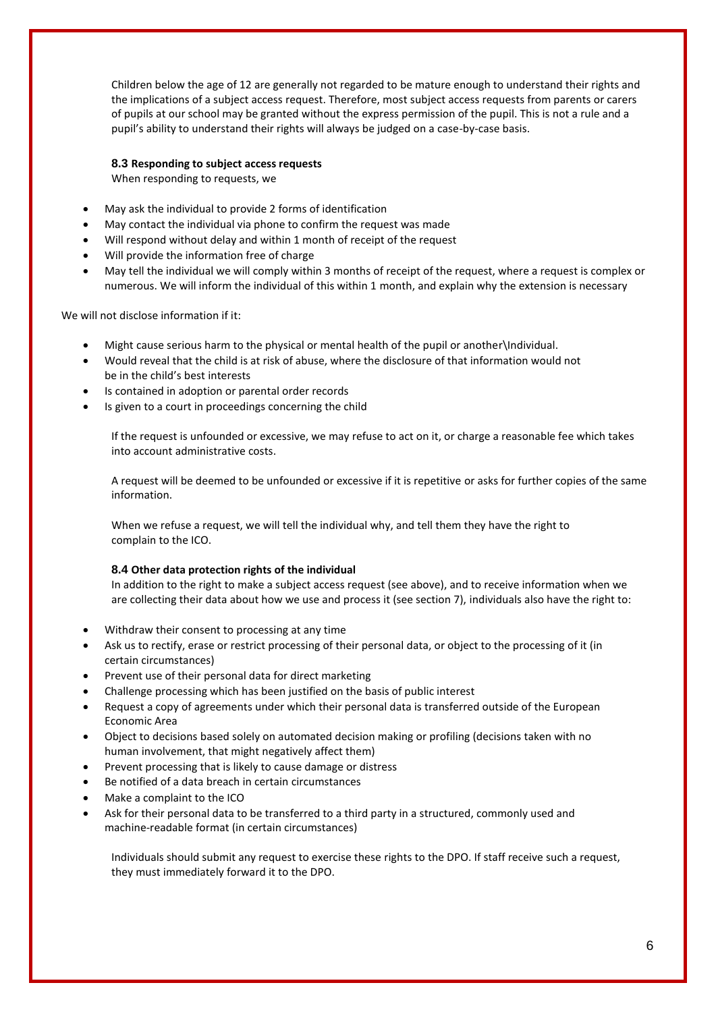Children below the age of 12 are generally not regarded to be mature enough to understand their rights and the implications of a subject access request. Therefore, most subject access requests from parents or carers of pupils at our school may be granted without the express permission of the pupil. This is not a rule and a pupil's ability to understand their rights will always be judged on a case-by-case basis.

#### **8.3 Responding to subject access requests**

When responding to requests, we

- May ask the individual to provide 2 forms of identification
- May contact the individual via phone to confirm the request was made
- Will respond without delay and within 1 month of receipt of the request
- Will provide the information free of charge
- May tell the individual we will comply within 3 months of receipt of the request, where a request is complex or numerous. We will inform the individual of this within 1 month, and explain why the extension is necessary

We will not disclose information if it:

- Might cause serious harm to the physical or mental health of the pupil or another\Individual.
- Would reveal that the child is at risk of abuse, where the disclosure of that information would not be in the child's best interests
- Is contained in adoption or parental order records
- Is given to a court in proceedings concerning the child

If the request is unfounded or excessive, we may refuse to act on it, or charge a reasonable fee which takes into account administrative costs.

A request will be deemed to be unfounded or excessive if it is repetitive or asks for further copies of the same information.

When we refuse a request, we will tell the individual why, and tell them they have the right to complain to the ICO.

#### **8.4 Other data protection rights of the individual**

In addition to the right to make a subject access request (see above), and to receive information when we are collecting their data about how we use and process it (see section 7), individuals also have the right to:

- Withdraw their consent to processing at any time
- Ask us to rectify, erase or restrict processing of their personal data, or object to the processing of it (in certain circumstances)
- Prevent use of their personal data for direct marketing
- Challenge processing which has been justified on the basis of public interest
- Request a copy of agreements under which their personal data is transferred outside of the European Economic Area
- Object to decisions based solely on automated decision making or profiling (decisions taken with no human involvement, that might negatively affect them)
- Prevent processing that is likely to cause damage or distress
- Be notified of a data breach in certain circumstances
- Make a complaint to the ICO
- Ask for their personal data to be transferred to a third party in a structured, commonly used and machine-readable format (in certain circumstances)

Individuals should submit any request to exercise these rights to the DPO. If staff receive such a request, they must immediately forward it to the DPO.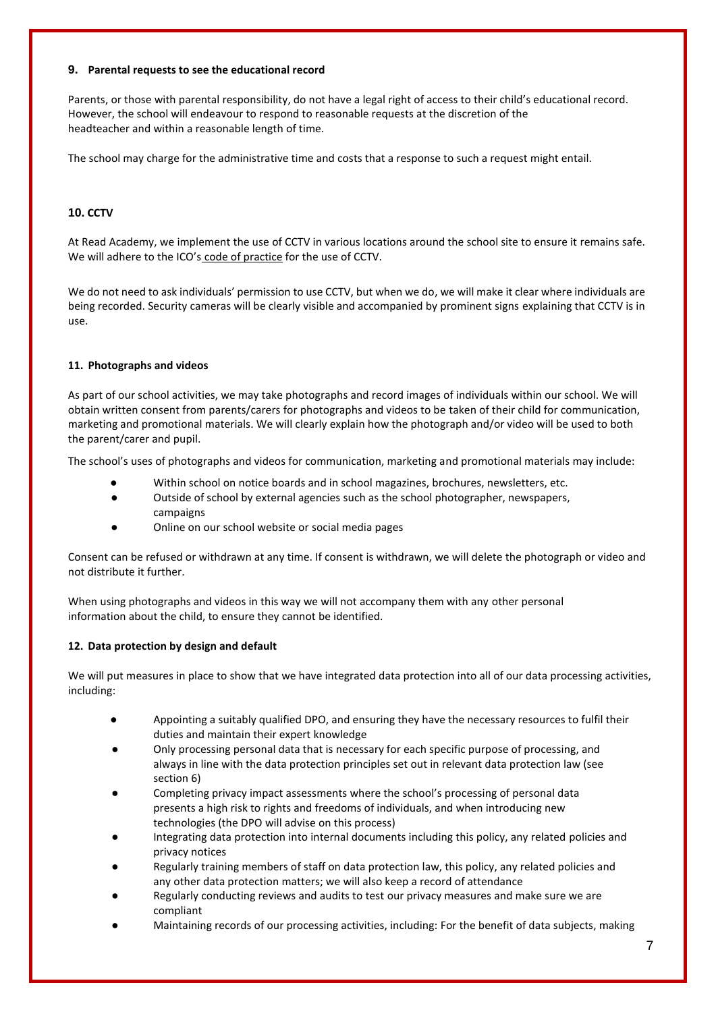#### **9. Parental requests to see the educational record**

Parents, or those with parental responsibility, do not have a legal right of access to their child's educational record. However, the school will endeavour to respond to reasonable requests at the discretion of the headteacher and within a reasonable length of time.

The school may charge for the administrative time and costs that a response to such a request might entail.

## **10. CCTV**

At Read Academy, we implement the use of CCTV in various locations around the school site to ensure it remains safe. We will adhere to the ICO's [code of practice](https://ico.org.uk/media/for-organisations/documents/1542/cctv-code-of-practice.pdf) [f](https://ico.org.uk/media/for-organisations/documents/1542/cctv-code-of-practice.pdf)or the use of CCTV.

We do not need to ask individuals' permission to use CCTV, but when we do, we will make it clear where individuals are being recorded. Security cameras will be clearly visible and accompanied by prominent signs explaining that CCTV is in use.

#### **11. Photographs and videos**

As part of our school activities, we may take photographs and record images of individuals within our school. We will obtain written consent from parents/carers for photographs and videos to be taken of their child for communication, marketing and promotional materials. We will clearly explain how the photograph and/or video will be used to both the parent/carer and pupil.

The school's uses of photographs and videos for communication, marketing and promotional materials may include:

- Within school on notice boards and in school magazines, brochures, newsletters, etc.
- Outside of school by external agencies such as the school photographer, newspapers, campaigns
- Online on our school website or social media pages

Consent can be refused or withdrawn at any time. If consent is withdrawn, we will delete the photograph or video and not distribute it further.

When using photographs and videos in this way we will not accompany them with any other personal information about the child, to ensure they cannot be identified.

#### **12. Data protection by design and default**

We will put measures in place to show that we have integrated data protection into all of our data processing activities, including:

- Appointing a suitably qualified DPO, and ensuring they have the necessary resources to fulfil their duties and maintain their expert knowledge
- Only processing personal data that is necessary for each specific purpose of processing, and always in line with the data protection principles set out in relevant data protection law (see section 6)
- Completing privacy impact assessments where the school's processing of personal data presents a high risk to rights and freedoms of individuals, and when introducing new technologies (the DPO will advise on this process)
- Integrating data protection into internal documents including this policy, any related policies and privacy notices
- Regularly training members of staff on data protection law, this policy, any related policies and any other data protection matters; we will also keep a record of attendance
- Regularly conducting reviews and audits to test our privacy measures and make sure we are compliant
- Maintaining records of our processing activities, including: For the benefit of data subjects, making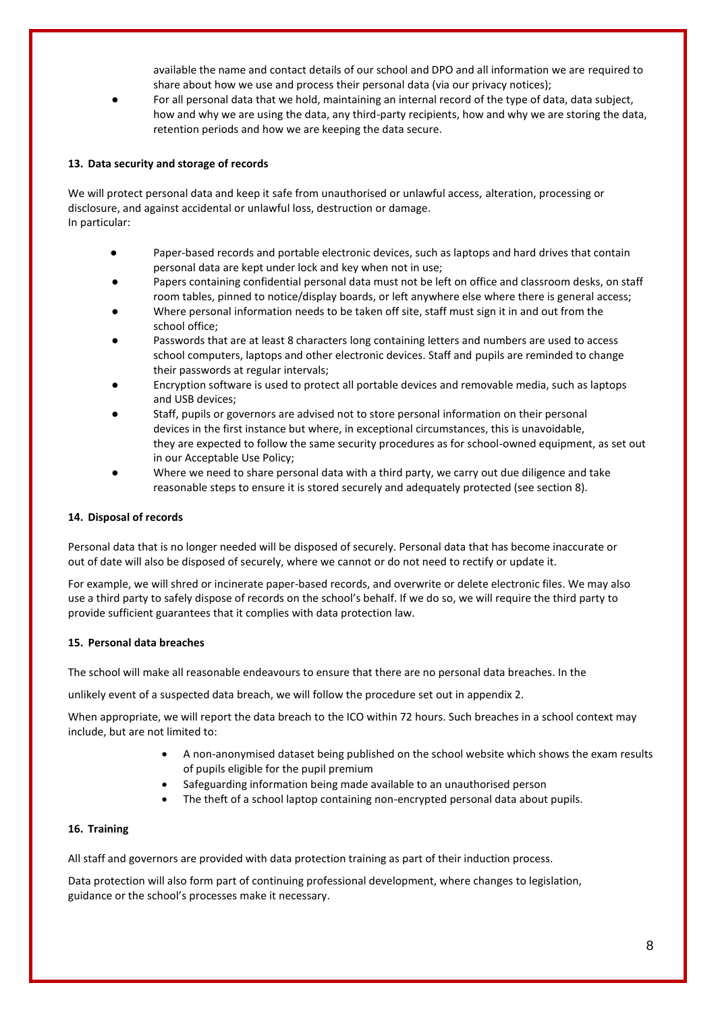available the name and contact details of our school and DPO and all information we are required to share about how we use and process their personal data (via our privacy notices);

For all personal data that we hold, maintaining an internal record of the type of data, data subject, how and why we are using the data, any third-party recipients, how and why we are storing the data, retention periods and how we are keeping the data secure.

#### **13. Data security and storage of records**

We will protect personal data and keep it safe from unauthorised or unlawful access, alteration, processing or disclosure, and against accidental or unlawful loss, destruction or damage. In particular:

- Paper-based records and portable electronic devices, such as laptops and hard drives that contain personal data are kept under lock and key when not in use;
- Papers containing confidential personal data must not be left on office and classroom desks, on staff room tables, pinned to notice/display boards, or left anywhere else where there is general access;
- Where personal information needs to be taken off site, staff must sign it in and out from the school office;
- Passwords that are at least 8 characters long containing letters and numbers are used to access school computers, laptops and other electronic devices. Staff and pupils are reminded to change their passwords at regular intervals;
- Encryption software is used to protect all portable devices and removable media, such as laptops and USB devices;
- Staff, pupils or governors are advised not to store personal information on their personal devices in the first instance but where, in exceptional circumstances, this is unavoidable, they are expected to follow the same security procedures as for school-owned equipment, as set out in our Acceptable Use Policy;
- Where we need to share personal data with a third party, we carry out due diligence and take reasonable steps to ensure it is stored securely and adequately protected (see section 8).

#### **14. Disposal of records**

Personal data that is no longer needed will be disposed of securely. Personal data that has become inaccurate or out of date will also be disposed of securely, where we cannot or do not need to rectify or update it.

For example, we will shred or incinerate paper-based records, and overwrite or delete electronic files. We may also use a third party to safely dispose of records on the school's behalf. If we do so, we will require the third party to provide sufficient guarantees that it complies with data protection law.

#### **15. Personal data breaches**

The school will make all reasonable endeavours to ensure that there are no personal data breaches. In the

unlikely event of a suspected data breach, we will follow the procedure set out in appendix 2.

When appropriate, we will report the data breach to the ICO within 72 hours. Such breaches in a school context may include, but are not limited to:

- A non-anonymised dataset being published on the school website which shows the exam results of pupils eligible for the pupil premium
- Safeguarding information being made available to an unauthorised person
- The theft of a school laptop containing non-encrypted personal data about pupils.

#### **16. Training**

All staff and governors are provided with data protection training as part of their induction process.

Data protection will also form part of continuing professional development, where changes to legislation, guidance or the school's processes make it necessary.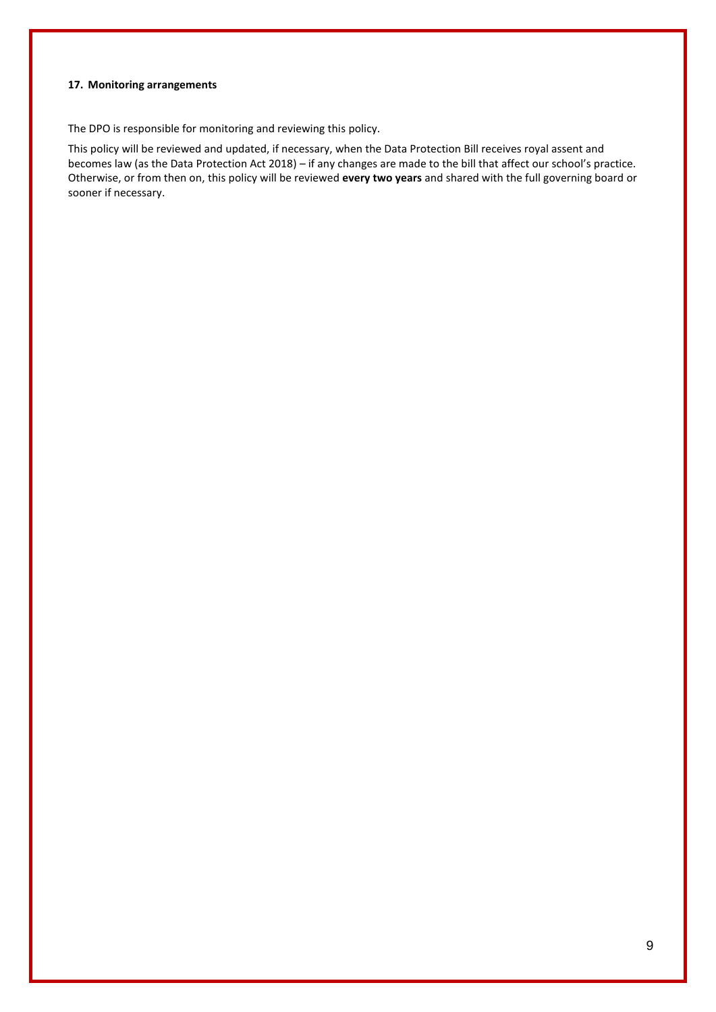#### **17. Monitoring arrangements**

The DPO is responsible for monitoring and reviewing this policy.

This policy will be reviewed and updated, if necessary, when the Data Protection Bill receives royal assent and becomes law (as the Data Protection Act 2018) – if any changes are made to the bill that affect our school's practice. Otherwise, or from then on, this policy will be reviewed **every two years** and shared with the full governing board or sooner if necessary.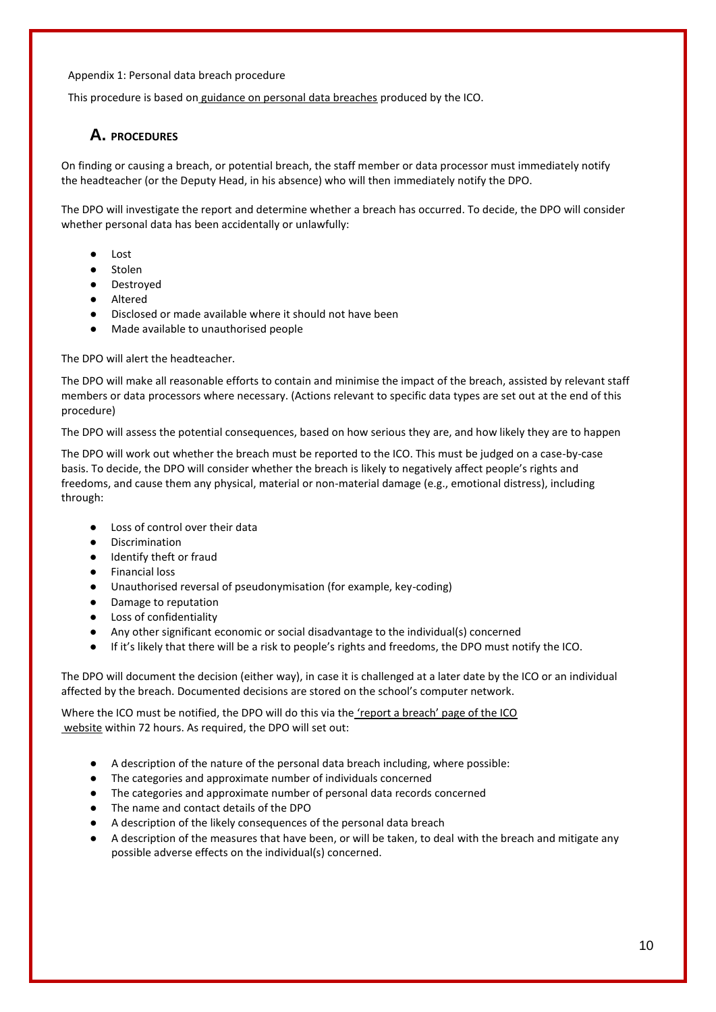#### Appendix 1: Personal data breach procedure

This procedure is based on [guidance on personal data breaches](https://ico.org.uk/for-organisations/guide-to-the-general-data-protection-regulation-gdpr/personal-data-breaches/) [p](https://ico.org.uk/for-organisations/guide-to-the-general-data-protection-regulation-gdpr/personal-data-breaches/)roduced by the ICO.

# **A. PROCEDURES**

On finding or causing a breach, or potential breach, the staff member or data processor must immediately notify the headteacher (or the Deputy Head, in his absence) who will then immediately notify the DPO.

The DPO will investigate the report and determine whether a breach has occurred. To decide, the DPO will consider whether personal data has been accidentally or unlawfully:

- Lost
- Stolen
- Destroved
- Altered
- Disclosed or made available where it should not have been
- Made available to unauthorised people

#### The DPO will alert the headteacher.

The DPO will make all reasonable efforts to contain and minimise the impact of the breach, assisted by relevant staff members or data processors where necessary. (Actions relevant to specific data types are set out at the end of this procedure)

The DPO will assess the potential consequences, based on how serious they are, and how likely they are to happen

The DPO will work out whether the breach must be reported to the ICO. This must be judged on a case-by-case basis. To decide, the DPO will consider whether the breach is likely to negatively affect people's rights and freedoms, and cause them any physical, material or non-material damage (e.g., emotional distress), including through:

- Loss of control over their data
- **Discrimination**
- Identify theft or fraud
- Financial loss
- Unauthorised reversal of pseudonymisation (for example, key-coding)
- Damage to reputation
- Loss of confidentiality
- Any other significant economic or social disadvantage to the individual(s) concerned
- If it's likely that there will be a risk to people's rights and freedoms, the DPO must notify the ICO.

The DPO will document the decision (either way), in case it is challenged at a later date by the ICO or an individual affected by the breach. Documented decisions are stored on the school's computer network.

Where the ICO must be notified, the DPO will do this via the ['report a breach' page of the ICO](https://ico.org.uk/for-organisations/report-a-breach/) [website](https://ico.org.uk/for-organisations/report-a-breach/) [w](https://ico.org.uk/for-organisations/report-a-breach/)ithin 72 hours. As required, the DPO will set out:

- A description of the nature of the personal data breach including, where possible:
- The categories and approximate number of individuals concerned
- The categories and approximate number of personal data records concerned
- The name and contact details of the DPO
- A description of the likely consequences of the personal data breach
- A description of the measures that have been, or will be taken, to deal with the breach and mitigate any possible adverse effects on the individual(s) concerned.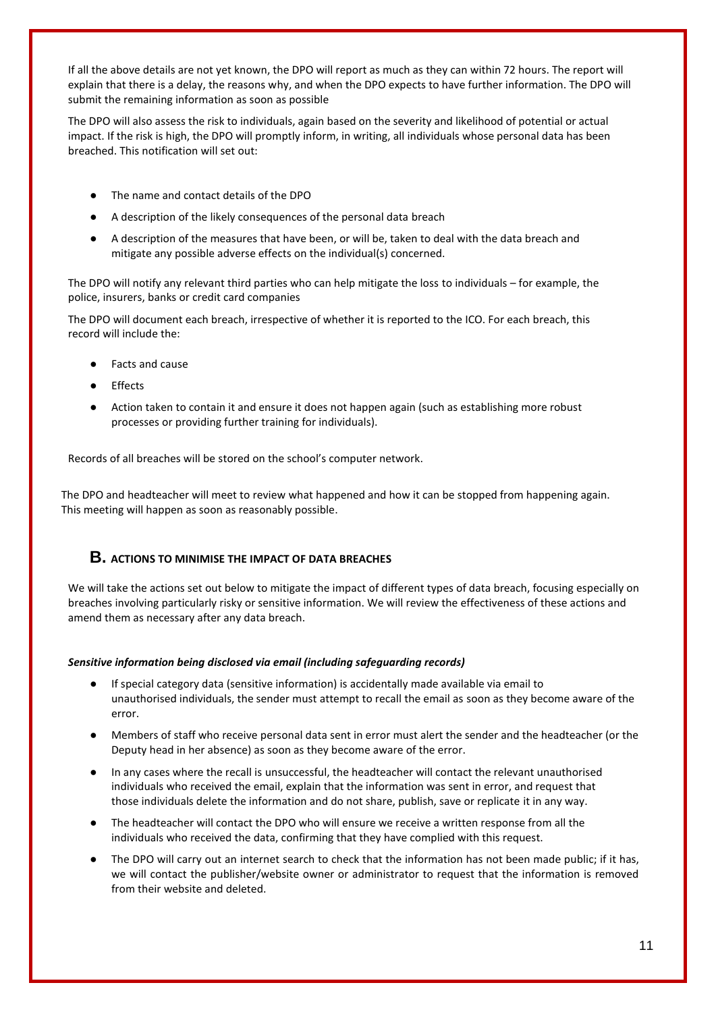If all the above details are not yet known, the DPO will report as much as they can within 72 hours. The report will explain that there is a delay, the reasons why, and when the DPO expects to have further information. The DPO will submit the remaining information as soon as possible

The DPO will also assess the risk to individuals, again based on the severity and likelihood of potential or actual impact. If the risk is high, the DPO will promptly inform, in writing, all individuals whose personal data has been breached. This notification will set out:

- The name and contact details of the DPO
- A description of the likely consequences of the personal data breach
- A description of the measures that have been, or will be, taken to deal with the data breach and mitigate any possible adverse effects on the individual(s) concerned.

The DPO will notify any relevant third parties who can help mitigate the loss to individuals – for example, the police, insurers, banks or credit card companies

The DPO will document each breach, irrespective of whether it is reported to the ICO. For each breach, this record will include the:

- Facts and cause
- **Effects**
- Action taken to contain it and ensure it does not happen again (such as establishing more robust processes or providing further training for individuals).

Records of all breaches will be stored on the school's computer network.

The DPO and headteacher will meet to review what happened and how it can be stopped from happening again. This meeting will happen as soon as reasonably possible.

# **B. ACTIONS TO MINIMISE THE IMPACT OF DATA BREACHES**

We will take the actions set out below to mitigate the impact of different types of data breach, focusing especially on breaches involving particularly risky or sensitive information. We will review the effectiveness of these actions and amend them as necessary after any data breach.

#### *Sensitive information being disclosed via email (including safeguarding records)*

- If special category data (sensitive information) is accidentally made available via email to unauthorised individuals, the sender must attempt to recall the email as soon as they become aware of the error.
- Members of staff who receive personal data sent in error must alert the sender and the headteacher (or the Deputy head in her absence) as soon as they become aware of the error.
- In any cases where the recall is unsuccessful, the headteacher will contact the relevant unauthorised individuals who received the email, explain that the information was sent in error, and request that those individuals delete the information and do not share, publish, save or replicate it in any way.
- The headteacher will contact the DPO who will ensure we receive a written response from all the individuals who received the data, confirming that they have complied with this request.
- The DPO will carry out an internet search to check that the information has not been made public; if it has, we will contact the publisher/website owner or administrator to request that the information is removed from their website and deleted.